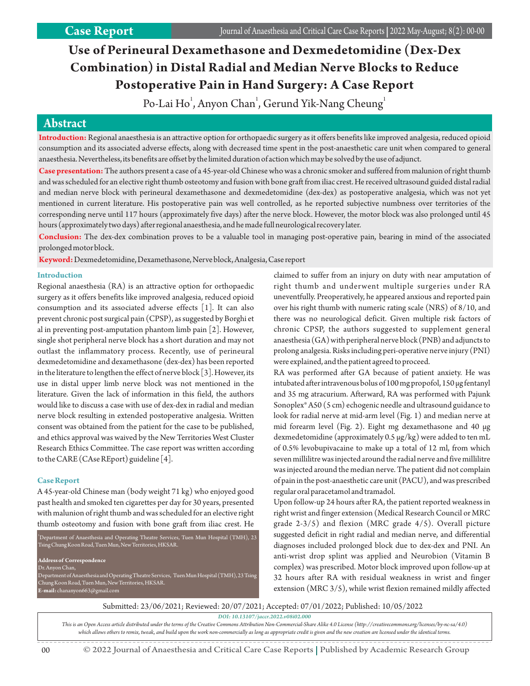# **Use of Perineural Dexamethasone and Dexmedetomidine (Dex-Dex Combination) in Distal Radial and Median Nerve Blocks to Reduce Postoperative Pain in Hand Surgery: A Case Report**

Po-Lai Ho $^{\rm l}$ , Anyon Chan $^{\rm l}$ , Gerund Yik-Nang Cheung $^{\rm l}$ 

## **AAbsbstrtractact**

**Introduction:** Regional anaesthesia is an attractive option for orthopaedic surgery as it offers benefits like improved analgesia, reduced opioid consumption and its associated adverse effects, along with decreased time spent in the post-anaesthetic care unit when compared to general anaesthesia. Nevertheless, its benefits are offset by the limited duration of action which may be solved by the use of adjunct.

**Case presentation:**The authors present a case of a 45-year-old Chinese who was a chronic smoker and suffered from malunion of right thumb and was scheduled for an elective right thumb osteotomy and fusion with bone graft from iliac crest. He received ultrasound guided distal radial and median nerve block with perineural dexamethasone and dexmedetomidine (dex-dex) as postoperative analgesia, which was not yet mentioned in current literature. His postoperative pain was well controlled, as he reported subjective numbness over territories of the corresponding nerve until 117 hours (approximately five days) after the nerve block. However, the motor block was also prolonged until 45 hours (approximately two days) after regional anaesthesia, and he made full neurological recovery later.

**Conclusion:** The dex-dex combination proves to be a valuable tool in managing post-operative pain, bearing in mind of the associated prolonged motor block.

**Keyword:**Dexmedetomidine, Dexamethasone, Nerve block, Analgesia, Case report

## **Introduction**

Regional anaesthesia (RA) is an attractive option for orthopaedic surgery as it offers benefits like improved analgesia, reduced opioid consumption and its associated adverse effects [1]. It can also prevent chronic post surgical pain (CPSP), as suggested by Borghi et al in preventing post-amputation phantom limb pain [2]. However, single shot peripheral nerve block has a short duration and may not outlast the inflammatory process. Recently, use of perineural dexmedetomidine and dexamethasone (dex-dex) has been reported in the literature to lengthen the effect of nerve block [3]. However, its use in distal upper limb nerve block was not mentioned in the literature. Given the lack of information in this field, the authors would like to discuss a case with use of dex-dex in radial and median nerve block resulting in extended postoperative analgesia. Written consent was obtained from the patient for the case to be published, and ethics approval was waived by the New Territories West Cluster Research Ethics Committee. The case report was written according to the CARE (CAse REport) guideline [4].

## **Case Report**

A 45-year-old Chinese man (body weight 71 kg) who enjoyed good past health and smoked ten cigarettes per day for 30 years, presented with malunion of right thumb and was scheduled for an elective right thumb osteotomy and fusion with bone graft from iliac crest. He

 $1$ <sup>1</sup>Department of Anaesthesia and Operating Theatre Services, Tuen Mun Hospital (TMH), 23 Tsing Chung Koon Road, Tuen Mun, New Territories, HKSAR. **Address of Correspondence** Dr. Anyon Chan, Department of Anaesthesia and Operating Theatre Services, Tuen Mun Hospital (TMH), 23 Tsing Chung Koon Road, Tuen Mun, New Territories, HKSAR.

**E-mail:** chananyon663@gmail.com

claimed to suffer from an injury on duty with near amputation of right thumb and underwent multiple surgeries under RA uneventfully. Preoperatively, he appeared anxious and reported pain over his right thumb with numeric rating scale (NRS) of 8/10, and there was no neurological deficit. Given multiple risk factors of chronic CPSP, the authors suggested to supplement general anaesthesia (GA) with peripheral nerve block (PNB) and adjuncts to prolong analgesia. Risks including peri-operative nerve injury (PNI) were explained, and the patient agreed to proceed.

RA was performed after GA because of patient anxiety. He was intubated after intravenous bolus of 100 mg propofol, 150 μg fentanyl and 35 mg atracurium. Afterward, RA was performed with Pajunk Sonoplex® A50 (5 cm) echogenic needle and ultrasound guidance to look for radial nerve at mid-arm level (Fig. 1) and median nerve at mid forearm level (Fig. 2). Eight mg dexamethasone and 40 μg dexmedetomidine (approximately 0.5 μg/kg) were added to ten mL of 0.5% levobupivacaine to make up a total of 12 ml, from which seven millilitre was injected around the radial nerve and five millilitre was injected around the median nerve. The patient did not complain of pain in the post-anaesthetic care unit (PACU), and was prescribed regular oral paracetamol and tramadol.

Upon follow-up 24 hours after RA, the patient reported weakness in right wrist and finger extension (Medical Research Council or MRC grade 2-3/5) and flexion (MRC grade 4/5). Overall picture suggested deficit in right radial and median nerve, and differential diagnoses included prolonged block due to dex-dex and PNI. An anti-wrist drop splint was applied and Neurobion (Vitamin B complex) was prescribed. Motor block improved upon follow-up at 32 hours after RA with residual weakness in wrist and finger extension (MRC 3/5), while wrist flexion remained mildly affected

Submitted: 23/06/2021; Reviewed: 20/07/2021; Accepted: 07/01/2022; Published: 10/05/2022

*DOI: 10.13107/jaccr.2022.v08i02.000*

*This is an Open Access article distributed under the terms of the Creative Commons Attribution Non-Commercial-Share Alike 4.0 License (http://creativecommons.org/licenses/by-nc-sa/4.0) which allows others to remix, tweak, and build upon the work non-commercially as long as appropriate credit is given and the new creation are licensed under the identical terms.*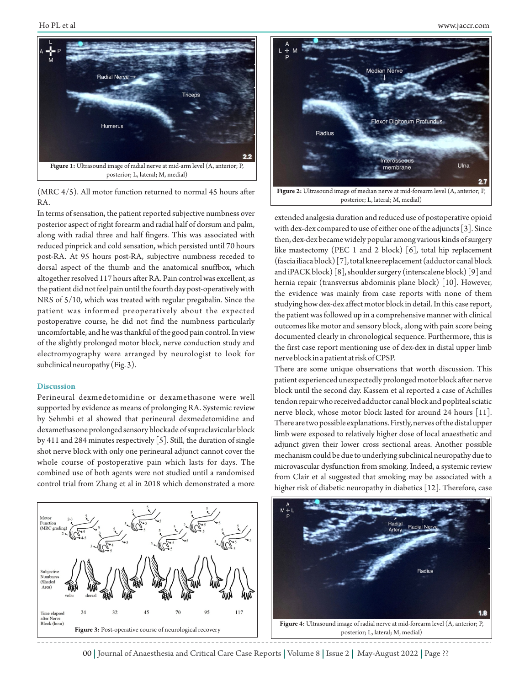

(MRC 4/5). All motor function returned to normal 45 hours after RA.

In terms of sensation, the patient reported subjective numbness over posterior aspect of right forearm and radial half of dorsum and palm, along with radial three and half fingers. This was associated with reduced pinprick and cold sensation, which persisted until 70 hours post-RA. At 95 hours post-RA, subjective numbness receded to dorsal aspect of the thumb and the anatomical snuffbox, which altogether resolved 117 hours after RA. Pain control was excellent, as the patient did not feel pain until the fourth day post-operatively with NRS of 5/10, which was treated with regular pregabalin. Since the patient was informed preoperatively about the expected postoperative course, he did not find the numbness particularly uncomfortable, and he was thankful of the good pain control. In view of the slightly prolonged motor block, nerve conduction study and electromyography were arranged by neurologist to look for subclinical neuropathy (Fig. 3).

#### **Discussion**

Perineural dexmedetomidine or dexamethasone were well supported by evidence as means of prolonging RA. Systemic review by Sehmbi et al showed that perineural dexmedetomidine and dexamethasone prolonged sensory blockade of supraclavicular block by 411 and 284 minutes respectively [5]. Still, the duration of single shot nerve block with only one perineural adjunct cannot cover the whole course of postoperative pain which lasts for days. The combined use of both agents were not studied until a randomised control trial from Zhang et al in 2018 which demonstrated a more





extended analgesia duration and reduced use of postoperative opioid with dex-dex compared to use of either one of the adjuncts [3]. Since then, dex-dex became widely popular among various kinds of surgery like mastectomy (PEC 1 and 2 block) [6], total hip replacement (fascia iliaca block) [7], total knee replacement (adductor canal block and iPACK block) [8], shoulder surgery (interscalene block) [9] and hernia repair (transversus abdominis plane block) [10]. However, the evidence was mainly from case reports with none of them studying how dex-dex affect motor block in detail. In this case report, the patient was followed up in a comprehensive manner with clinical outcomes like motor and sensory block, along with pain score being documented clearly in chronological sequence. Furthermore, this is the first case report mentioning use of dex-dex in distal upper limb nerve block in a patient at risk of CPSP.

There are some unique observations that worth discussion. This patient experienced unexpectedly prolonged motor block after nerve block until the second day. Kassem et al reported a case of Achilles tendon repair who received adductor canal block and popliteal sciatic nerve block, whose motor block lasted for around 24 hours [11]. There are two possible explanations. Firstly, nerves of the distal upper limb were exposed to relatively higher dose of local anaesthetic and adjunct given their lower cross sectional areas. Another possible mechanism could be due to underlying subclinical neuropathy due to microvascular dysfunction from smoking. Indeed, a systemic review from Clair et al suggested that smoking may be associated with a higher risk of diabetic neuropathy in diabetics [12]. Therefore, case



00 | Journal of Anaesthesia and Critical Care Case Reports | Volume 8 | Issue 2 | May-August 2022 | Page ??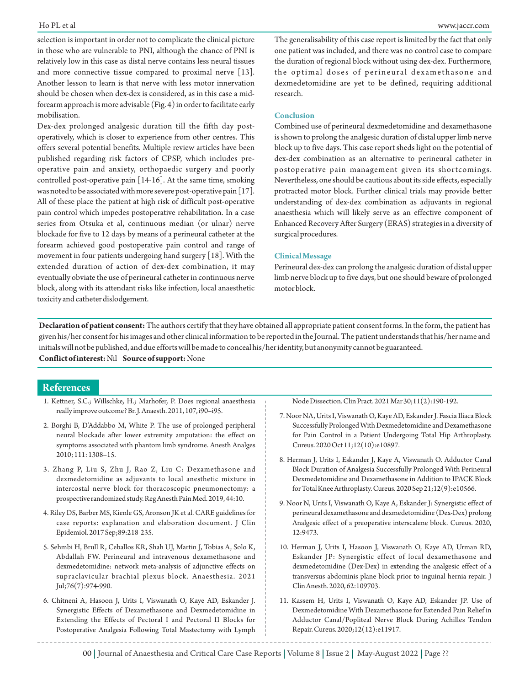selection is important in order not to complicate the clinical picture in those who are vulnerable to PNI, although the chance of PNI is relatively low in this case as distal nerve contains less neural tissues and more connective tissue compared to proximal nerve [13]. Another lesson to learn is that nerve with less motor innervation should be chosen when dex-dex is considered, as in this case a midforearm approach is more advisable (Fig. 4) in order to facilitate early mobilisation.

Dex-dex prolonged analgesic duration till the fifth day postoperatively, which is closer to experience from other centres. This offers several potential benefits. Multiple review articles have been published regarding risk factors of CPSP, which includes preoperative pain and anxiety, orthopaedic surgery and poorly controlled post-operative pain [14-16]. At the same time, smoking was noted to be associated with more severe post-operative pain [17]. All of these place the patient at high risk of difficult post-operative pain control which impedes postoperative rehabilitation. In a case series from Otsuka et al, continuous median (or ulnar) nerve blockade for five to 12 days by means of a perineural catheter at the forearm achieved good postoperative pain control and range of movement in four patients undergoing hand surgery [18]. With the extended duration of action of dex-dex combination, it may eventually obviate the use of perineural catheter in continuous nerve block, along with its attendant risks like infection, local anaesthetic toxicity and catheter dislodgement.

The generalisability of this case report is limited by the fact that only one patient was included, and there was no control case to compare the duration of regional block without using dex-dex. Furthermore, the optimal doses of perineural dexamethasone and dexmedetomidine are yet to be defined, requiring additional research.

#### **Conclusion**

Combined use of perineural dexmedetomidine and dexamethasone is shown to prolong the analgesic duration of distal upper limb nerve block up to five days. This case report sheds light on the potential of dex-dex combination as an alternative to perineural catheter in postoperative pain management given its shortcomings. Nevertheless, one should be cautious about its side effects, especially protracted motor block. Further clinical trials may provide better understanding of dex-dex combination as adjuvants in regional anaesthesia which will likely serve as an effective component of Enhanced Recovery After Surgery (ERAS) strategies in a diversity of surgical procedures.

#### **Clinical Message**

Perineural dex-dex can prolong the analgesic duration of distal upper limb nerve block up to five days, but one should beware of prolonged motor block.

**Declaration of patient consent:** The authors certify that they have obtained all appropriate patient consent forms. In the form, the patient has given his/her consent for his images and other clinical information to be reported in the Journal. The patient understands that his/her name and initials will not be published, and due efforts will be made to conceal his/her identity, but anonymity cannot be guaranteed. **Conflict of interest:**Nil **Source of support:**None

## **References**

- 1. Kettner, S.C.; Willschke, H.; Marhofer, P. Does regional anaesthesia really improve outcome? Br. J. Anaesth. 2011, 107, i90–i95.
- 2. Borghi B, D'Addabbo M, White P. The use of prolonged peripheral neural blockade after lower extremity amputation: the effect on symptoms associated with phantom limb syndrome. Anesth Analges 2010; 111: 1308–15.
- 3. Zhang P, Liu S, Zhu J, Rao Z, Liu C: Dexamethasone and dexmedetomidine as adjuvants to local anesthetic mixture in intercostal nerve block for thoracoscopic pneumonectomy: a prospective randomized study. Reg Anesth Pain Med. 2019, 44:10.
- 4. Riley DS, Barber MS, Kienle GS, Aronson JK et al. CARE guidelines for case reports: explanation and elaboration document. J Clin Epidemiol. 2017 Sep;89:218-235.
- 5. Sehmbi H, Brull R, Ceballos KR, Shah UJ, Martin J, Tobias A, Solo K, Abdallah FW. Perineural and intravenous dexamethasone and dexmedetomidine: network meta-analysis of adjunctive effects on supraclavicular brachial plexus block. Anaesthesia. 2021 Jul;76(7):974-990.
- 6. Chitneni A, Hasoon J, Urits I, Viswanath O, Kaye AD, Eskander J. Synergistic Effects of Dexamethasone and Dexmedetomidine in Extending the Effects of Pectoral I and Pectoral II Blocks for Postoperative Analgesia Following Total Mastectomy with Lymph

Node Dissection. Clin Pract. 2021 Mar 30;11(2):190-192.

- 7. Noor NA, Urits I, Viswanath O, Kaye AD, Eskander J. Fascia Iliaca Block Successfully Prolonged With Dexmedetomidine and Dexamethasone for Pain Control in a Patient Undergoing Total Hip Arthroplasty. Cureus. 2020 Oct 11;12(10):e10897.
- 8. Herman J, Urits I, Eskander J, Kaye A, Viswanath O. Adductor Canal Block Duration of Analgesia Successfully Prolonged With Perineural Dexmedetomidine and Dexamethasone in Addition to IPACK Block for Total Knee Arthroplasty. Cureus. 2020 Sep 21;12(9):e10566.
- 9. Noor N, Urits I, Viswanath O, Kaye A, Eskander J: Synergistic effect of perineural dexamethasone and dexmedetomidine (Dex-Dex) prolong Analgesic effect of a preoperative interscalene block. Cureus. 2020, 12:9473.
- 10. Herman J, Urits I, Hasoon J, Viswanath O, Kaye AD, Urman RD, Eskander JP: Synergistic effect of local dexamethasone and dexmedetomidine (Dex-Dex) in extending the analgesic effect of a transversus abdominis plane block prior to inguinal hernia repair. J Clin Anesth. 2020, 62:109703.
- 11. Kassem H, Urits I, Viswanath O, Kaye AD, Eskander JP. Use of Dexmedetomidine With Dexamethasone for Extended Pain Relief in Adductor Canal/Popliteal Nerve Block During Achilles Tendon Repair. Cureus. 2020;12(12):e11917.